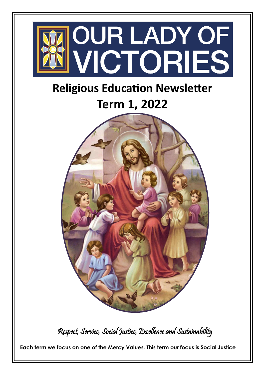

 **Each term we focus on one of the Mercy Values. This term our focus is Social Justice**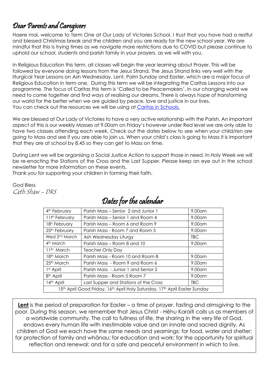## Dear Parents and Caregivers

Haere mai, welcome to Term One at Our Lady of Victories School. I trust that you have had a restful and blessed Christmas break and the children and you are ready for the new school year. We are mindful that this is trying times as we navigate more restrictions due to COVID but please continue to uphold our school, students and parish family in your prayers, as we will with you.

In Religious Education this term, all classes will begin the year learning about Prayer. This will be followed by everyone doing lessons from the Jesus Strand. The Jesus Strand links very well with the liturgical Year Lessons on Ash Wednesday, Lent, Palm Sunday and Easter, which are a major focus of Religious Education in term one. During this term we will be integrating the Caritas Lessons into our programme. The focus of Caritas this term is 'Called to be Peacemakers'. In our changing world we need to come together and find ways of realising our dreams. There is always hope of transforming our world for the better when we are guided by peace, love and justice in our lives. You can check out the resources we will be using at [Caritas in Schools.](https://caritas.org.nz/lent-schools)

We are blessed at Our Lady of Victories to have a very active relationship with the Parish. An important aspect of this is our weekly Masses at 9.00am on Friday's however under Red level we are only able to have two classes attending each week. Check out the dates below to see when your child/ren are going to Mass and see if you are able to join us. When your child's class is going to Mass it is important that they are at school by 8.45 so they can get to Mass on time.

During Lent we will be organising a Social Justice Action to support those in need. In Holy Week we will be re-enacting the Stations of the Cross and the Last Supper. Please keep an eye out in the school newsletter for more information on these events.

Thank you for supporting your children in forming their faith.

God Bless Cath Shaw - DRS

| 4 <sup>th</sup> February                                                   | Parish Mass – Senior 2 and Junior 1   | $9.00$ am |
|----------------------------------------------------------------------------|---------------------------------------|-----------|
| 11 <sup>th</sup> February                                                  | Parish Mass – Senior 1 and Room 4     | 9.00am    |
| 18 <sup>h</sup> February                                                   | Parish Mass – Room 6 and Room 9       | 9.00am    |
| 25th February                                                              | Parish Mass - Room 7 and Room 5       | 9.00am    |
| Wed 2 <sup>nd</sup> March                                                  | Ash Wednesday Liturgy                 | TBC.      |
| 4 <sup>th</sup> March                                                      | Parish Mass – Room 8 and 10           | 9.00am    |
| $11th$ March                                                               | <b>Teacher Only Day</b>               |           |
| 18 <sup>th</sup> March                                                     | Parish Mass - Room 10 and Room 8      | 9.00am    |
| 25th March                                                                 | Parish Mass - Room 9 and Room 6       | $9.00$ am |
| 1 <sup>st</sup> April                                                      | Parish Mass - Junior 1 and Senior 2   | 9.00am    |
| 8 <sup>th</sup> April                                                      | Parish Mass - Room 5 Room 7           | $9.00$ am |
| 14th April                                                                 | Last Supper and Stations of the Cross | TBC.      |
| 15th April Good Friday, 16th April Holy Saturday, 17th April Easter Sunday |                                       |           |

## Dates for the calendar

**Lent** is the period of preparation for Easter – a time of prayer, fasting and almsgiving to the poor. During this season, we remember that Jesus Christ - Hēhu Karaiti calls us as members of a worldwide community. The call to fullness of life, the sharing in the very life of God, endows every human life with inestimable value and an innate and sacred dignity. As children of God we each have the same needs and yearnings: for food, water and shelter; for protection of family and whānau; for education and work; for the opportunity for spiritual reflection and renewal; and for a safe and peaceful environment in which to live.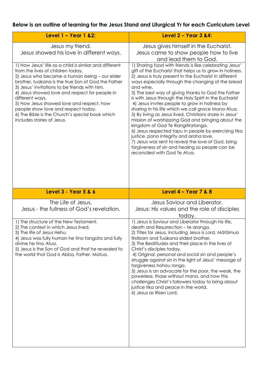## **Below is an outline of learning for the Jesus Stand and Liturgical Yr for each Curriculum Level**

| Level $1 -$ Year 1 & 2:                                                                                                                                                                                                                                                                                                                                                                                                                                                                       | Level 2 - Year 3 &4:                                                                                                                                                                                                                                                                                                                                                                                                                                                                                                                                                                                                                                                                                                                                                                                                                                                      |  |
|-----------------------------------------------------------------------------------------------------------------------------------------------------------------------------------------------------------------------------------------------------------------------------------------------------------------------------------------------------------------------------------------------------------------------------------------------------------------------------------------------|---------------------------------------------------------------------------------------------------------------------------------------------------------------------------------------------------------------------------------------------------------------------------------------------------------------------------------------------------------------------------------------------------------------------------------------------------------------------------------------------------------------------------------------------------------------------------------------------------------------------------------------------------------------------------------------------------------------------------------------------------------------------------------------------------------------------------------------------------------------------------|--|
| Jesus my friend.<br>Jesus showed his love in different ways.                                                                                                                                                                                                                                                                                                                                                                                                                                  | Jesus gives himself in the Eucharist.<br>Jesus came to show people how to live<br>and lead them to God.                                                                                                                                                                                                                                                                                                                                                                                                                                                                                                                                                                                                                                                                                                                                                                   |  |
| 1) How Jesus' life as a child is similar and different<br>from the lives of children today.<br>2) Jesus who became a human being - our elder<br>brother, tuakana is the true Son of God the Father<br>3) Jesus' invitations to be friends with him.<br>4) Jesus showed love and respect for people in<br>different ways.<br>5) How Jesus showed love and respect, how<br>people show love and respect today.<br>6) The Bible is the Church's special book which<br>includes stories of Jesus. | 1) Sharing food with friends is like celebrating Jesus'<br>gift of the Eucharist that helps us to grow in holiness.<br>2) Jesus is truly present in the Eucharist in different<br>ways especially through the changing of the bread<br>and wine.<br>3) The best way of giving thanks to God the Father<br>is with Jesus through the Holy Spirit in the Eucharist<br>4) Jesus invites people to grow in holiness by<br>sharing in his life which we call grace Mana Atua.<br>5) By living as Jesus lived, Christians share in Jesus'<br>mission of worshipping God and bringing about the<br>kingdom of God Te Rangitiratanga.<br>6) Jesus respected tapu in people by exercising tika<br>justice, pono integrity and aroha love.<br>7) Jesus was sent to reveal the love of God, bring<br>forgiveness of sin and healing so people can be<br>reconciled with God Te Atua. |  |
| <b>Level 3 - Year 5 &amp; 6</b>                                                                                                                                                                                                                                                                                                                                                                                                                                                               | Level $4 - Year$ 7 & 8                                                                                                                                                                                                                                                                                                                                                                                                                                                                                                                                                                                                                                                                                                                                                                                                                                                    |  |
| The Life of Jesus.<br>Jesus - the fullness of God's revelation.                                                                                                                                                                                                                                                                                                                                                                                                                               | Jesus Saviour and Liberator.<br>Jesus: His values and the role of disciples<br>today.                                                                                                                                                                                                                                                                                                                                                                                                                                                                                                                                                                                                                                                                                                                                                                                     |  |
| 1) The structure of the New Testament.<br>2) The context in which Jesus lived.<br>3) The life of Jesus Hehu.<br>4) Jesus was fully human he tino tangata and fully<br>divine he tino Atua.<br>5) Jesus is the Son of God and that he revealed to<br>the world that God is Abba, Father, Matua.                                                                                                                                                                                                | 1) Jesus is Saviour and Liberator through his life,<br>death and Resurrection - te aranga.<br>2) Titles for Jesus, including Jesus is Lord, Mātāmua<br>firstborn and Tuakana eldest brother.<br>3) The Beatitudes and their place in the lives of<br>Christ's disciples today.<br>4) Original, personal and social sin and people's<br>struggle against sin in the light of Jesus' message of<br>forgiveness hohou rongo.<br>5) Jesus is an advocate for the poor, the weak, the<br>powerless, those without mana, and how this<br>challenges Christ's followers today to bring about<br>justice tika and peace in the world.<br>6) Jesus as Risen Lord.                                                                                                                                                                                                                  |  |